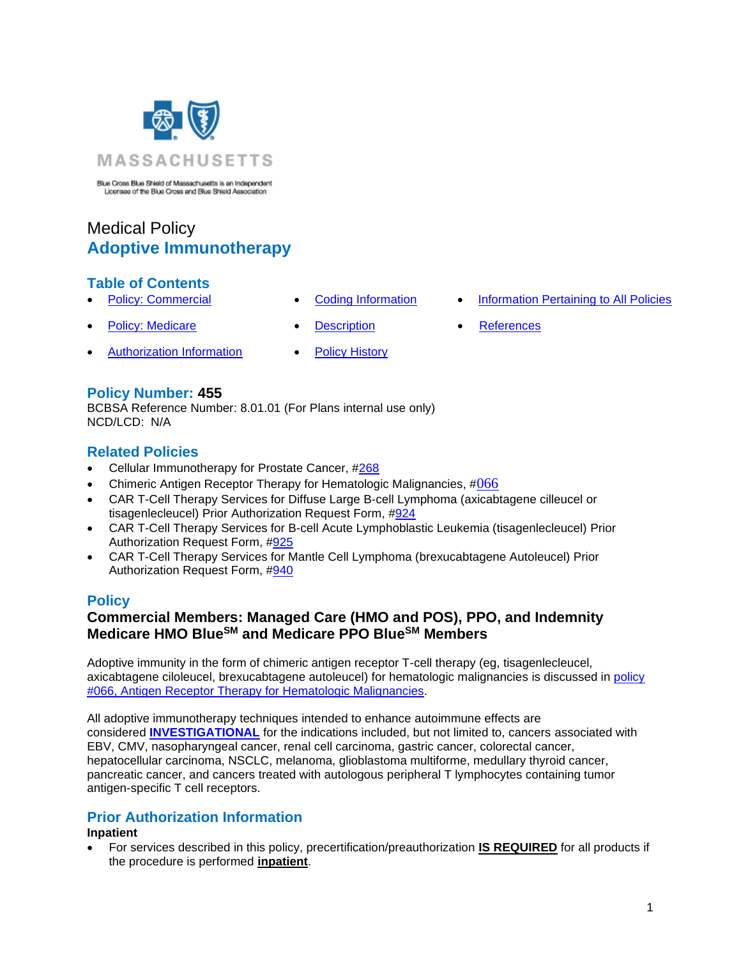<span id="page-0-1"></span>

Blue Cross Blue Shield of Massachusetts is an Independent<br>Licensee of the Blue Cross and Blue Shield Association

# Medical Policy **Adoptive Immunotherapy**

# **Table of Contents**

- 
- 
- **[Policy: Commercial](#page-0-0) [Coding Information](#page-1-0) [Information Pertaining to All Policies](#page-6-0)**
- **[Policy: Medicare](#page-0-0) [Description](#page-1-1) [References](#page-6-1)**
- 
- 
- [Authorization Information](#page-0-1) [Policy History](#page-5-0)
	-

# **Policy Number: 455**

BCBSA Reference Number: 8.01.01 (For Plans internal use only) NCD/LCD: N/A

# **Related Policies**

- Cellular Immunotherapy for Prostate Cancer, [#268](http://www.bluecrossma.org/medical-policies/sites/g/files/csphws2091/files/acquiadam-assets/268%20Cellular%20Immunotherapy%20for%20Prostate%20Cancer%20prn.pdf)
- Chimeric Antigen Receptor Therapy for Hematologic Malignancies, #[066](https://www.bluecrossma.org/medical-policies/sites/g/files/csphws2091/files/acquiadam-assets/066%20Chimeric%20Antigen%20Receptor%20Therapy%20for%20Leukemia%20and%20Lymphoma.pdf)
- CAR T-Cell Therapy Services for Diffuse Large B-cell Lymphoma (axicabtagene cilleucel or tisagenlecleucel) Prior Authorization Request Form, [#924](https://www.bluecrossma.org/medical-policies/sites/g/files/csphws2091/files/acquiadam-assets/924%20Prior%20Authorization%20Request%20Form%20for%20CAR%20T-Cell%20Therapy%20Services%20for%20Treatment%20of%20Diffuse%20Large%20B-cell%20Lymphoma%20prn.pdf)
- CAR T-Cell Therapy Services for B-cell Acute Lymphoblastic Leukemia (tisagenlecleucel) Prior Authorization Request Form, [#925](https://www.bluecrossma.org/medical-policies/sites/g/files/csphws2091/files/acquiadam-assets/925%20Prior%20Authorization%20Request%20Form%20for%20CAR%20T-Cell%20Therapy%20Services%20for%20B-cell%20Acute%20Lymphoblastic%20Leukemia%20(tisagenlecleucel)%20MP%20455%20prn.pdf)
- CAR T-Cell Therapy Services for Mantle Cell Lymphoma (brexucabtagene Autoleucel) Prior Authorization Request Form, [#940](https://www.bluecrossma.org/medical-policies/sites/g/files/csphws2091/files/acquiadam-assets/940%20Prior%20Authorization%20Request%20Form%20for%20CAR%20T-Cell%20Therapy%20Services%20for%20Mantle%20Cell%20Lymphoma%20%28Brexucabtagene%20Autoleucel%29%20MP%20066.pdf)

### <span id="page-0-0"></span>**Policy**

# **Commercial Members: Managed Care (HMO and POS), PPO, and Indemnity Medicare HMO BlueSM and Medicare PPO BlueSM Members**

Adoptive immunity in the form of chimeric antigen receptor T-cell therapy (eg, tisagenlecleucel, axicabtagene ciloleucel, brexucabtagene autoleucel) for hematologic malignancies is discussed in [policy](https://www.bluecrossma.org/medical-policies/sites/g/files/csphws2091/files/acquiadam-assets/066%20Chimeric%20Antigen%20Receptor%20Therapy%20for%20Hematologic%20Malignancies%20prn.pdf)  [#066, Antigen Receptor Therapy for Hematologic Malignancies.](https://www.bluecrossma.org/medical-policies/sites/g/files/csphws2091/files/acquiadam-assets/066%20Chimeric%20Antigen%20Receptor%20Therapy%20for%20Hematologic%20Malignancies%20prn.pdf)

All adoptive immunotherapy techniques intended to enhance autoimmune effects are considered **[INVESTIGATIONAL](https://www.bluecrossma.org/medical-policies/sites/g/files/csphws2091/files/acquiadam-assets/Definition%20of%20Med%20Nec%20Inv%20Not%20Med%20Nec%20prn.pdf#page=1)** for the indications included, but not limited to, cancers associated with EBV, CMV, nasopharyngeal cancer, renal cell carcinoma, gastric cancer, colorectal cancer, hepatocellular carcinoma, NSCLC, melanoma, glioblastoma multiforme, medullary thyroid cancer, pancreatic cancer, and cancers treated with autologous peripheral T lymphocytes containing tumor antigen-specific T cell receptors.

# **Prior Authorization Information**

### **Inpatient**

• For services described in this policy, precertification/preauthorization **IS REQUIRED** for all products if the procedure is performed **inpatient**.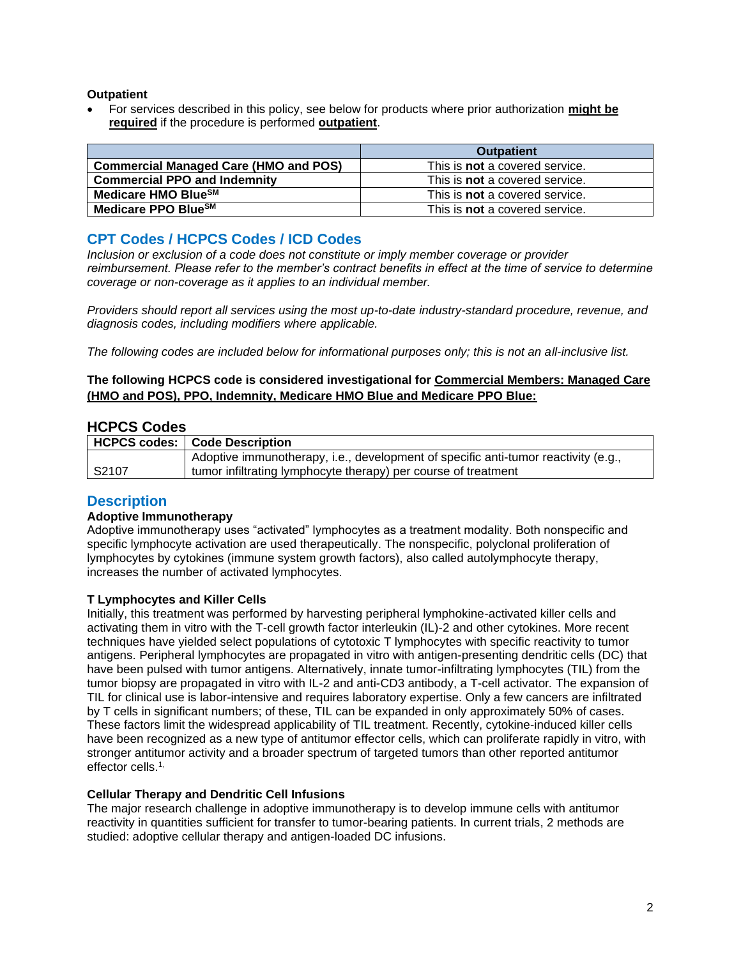#### **Outpatient**

• For services described in this policy, see below for products where prior authorization **might be required** if the procedure is performed **outpatient**.

|                                              | <b>Outpatient</b>                     |
|----------------------------------------------|---------------------------------------|
| <b>Commercial Managed Care (HMO and POS)</b> | This is <b>not</b> a covered service. |
| <b>Commercial PPO and Indemnity</b>          | This is <b>not</b> a covered service. |
| Medicare HMO Blue <sup>SM</sup>              | This is <b>not</b> a covered service. |
| Medicare PPO Blue <sup>SM</sup>              | This is <b>not</b> a covered service. |

### <span id="page-1-0"></span>**CPT Codes / HCPCS Codes / ICD Codes**

*Inclusion or exclusion of a code does not constitute or imply member coverage or provider reimbursement. Please refer to the member's contract benefits in effect at the time of service to determine coverage or non-coverage as it applies to an individual member.*

*Providers should report all services using the most up-to-date industry-standard procedure, revenue, and diagnosis codes, including modifiers where applicable.*

*The following codes are included below for informational purposes only; this is not an all-inclusive list.*

### **The following HCPCS code is considered investigational for Commercial Members: Managed Care (HMO and POS), PPO, Indemnity, Medicare HMO Blue and Medicare PPO Blue:**

### **HCPCS Codes**

|       | <b>HCPCS codes:   Code Description</b>                                             |
|-------|------------------------------------------------------------------------------------|
|       | Adoptive immunotherapy, i.e., development of specific anti-tumor reactivity (e.g., |
| S2107 | tumor infiltrating lymphocyte therapy) per course of treatment                     |

### <span id="page-1-1"></span>**Description**

#### **Adoptive Immunotherapy**

Adoptive immunotherapy uses "activated" lymphocytes as a treatment modality. Both nonspecific and specific lymphocyte activation are used therapeutically. The nonspecific, polyclonal proliferation of lymphocytes by cytokines (immune system growth factors), also called autolymphocyte therapy, increases the number of activated lymphocytes.

#### **T Lymphocytes and Killer Cells**

Initially, this treatment was performed by harvesting peripheral lymphokine-activated killer cells and activating them in vitro with the T-cell growth factor interleukin (IL)-2 and other cytokines. More recent techniques have yielded select populations of cytotoxic T lymphocytes with specific reactivity to tumor antigens. Peripheral lymphocytes are propagated in vitro with antigen-presenting dendritic cells (DC) that have been pulsed with tumor antigens. Alternatively, innate tumor-infiltrating lymphocytes (TIL) from the tumor biopsy are propagated in vitro with IL-2 and anti-CD3 antibody, a T-cell activator*.* The expansion of TIL for clinical use is labor-intensive and requires laboratory expertise. Only a few cancers are infiltrated by T cells in significant numbers; of these, TIL can be expanded in only approximately 50% of cases. These factors limit the widespread applicability of TIL treatment. Recently, cytokine-induced killer cells have been recognized as a new type of antitumor effector cells, which can proliferate rapidly in vitro, with stronger antitumor activity and a broader spectrum of targeted tumors than other reported antitumor effector cells.<sup>[1,](https://www.evidencepositioningsystem.com/_w_76f130f9aec482a9209e387f463c67b765e95cb994c3e84b/bcbsa_html/BCBSA/html/_blank)</sup>

#### **Cellular Therapy and Dendritic Cell Infusions**

The major research challenge in adoptive immunotherapy is to develop immune cells with antitumor reactivity in quantities sufficient for transfer to tumor-bearing patients. In current trials, 2 methods are studied: adoptive cellular therapy and antigen-loaded DC infusions.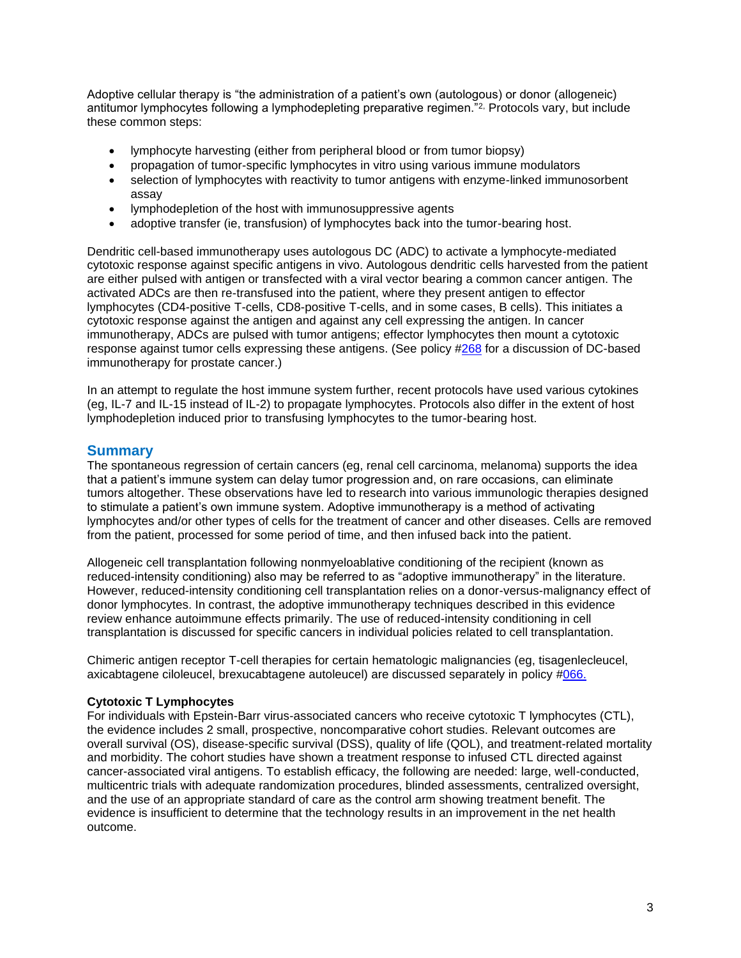Adoptive cellular therapy is "the administration of a patient's own (autologous) or donor (allogeneic) antitumor lymphocytes following a lymphodepleting preparative regimen."[2,](https://www.evidencepositioningsystem.com/_w_76f130f9aec482a9209e387f463c67b765e95cb994c3e84b/bcbsa_html/BCBSA/html/_blank) Protocols vary, but include these common steps:

- lymphocyte harvesting (either from peripheral blood or from tumor biopsy)
- propagation of tumor-specific lymphocytes in vitro using various immune modulators
- selection of lymphocytes with reactivity to tumor antigens with enzyme-linked immunosorbent assay
- lymphodepletion of the host with immunosuppressive agents
- adoptive transfer (ie, transfusion) of lymphocytes back into the tumor-bearing host.

Dendritic cell-based immunotherapy uses autologous DC (ADC) to activate a lymphocyte-mediated cytotoxic response against specific antigens in vivo. Autologous dendritic cells harvested from the patient are either pulsed with antigen or transfected with a viral vector bearing a common cancer antigen. The activated ADCs are then re-transfused into the patient, where they present antigen to effector lymphocytes (CD4-positive T-cells, CD8-positive T-cells, and in some cases, B cells). This initiates a cytotoxic response against the antigen and against any cell expressing the antigen. In cancer immunotherapy, ADCs are pulsed with tumor antigens; effector lymphocytes then mount a cytotoxic response against tumor cells expressing these antigens. (See policy [#268](http://www.bluecrossma.org/medical-policies/sites/g/files/csphws2091/files/acquiadam-assets/268%20Cellular%20Immunotherapy%20for%20Prostate%20Cancer%20prn.pdf) for a discussion of DC-based immunotherapy for prostate cancer.)

In an attempt to regulate the host immune system further, recent protocols have used various cytokines (eg, IL-7 and IL-15 instead of IL-2) to propagate lymphocytes. Protocols also differ in the extent of host lymphodepletion induced prior to transfusing lymphocytes to the tumor-bearing host.

### **Summary**

The spontaneous regression of certain cancers (eg, renal cell carcinoma, melanoma) supports the idea that a patient's immune system can delay tumor progression and, on rare occasions, can eliminate tumors altogether. These observations have led to research into various immunologic therapies designed to stimulate a patient's own immune system. Adoptive immunotherapy is a method of activating lymphocytes and/or other types of cells for the treatment of cancer and other diseases. Cells are removed from the patient, processed for some period of time, and then infused back into the patient.

Allogeneic cell transplantation following nonmyeloablative conditioning of the recipient (known as reduced-intensity conditioning) also may be referred to as "adoptive immunotherapy" in the literature. However, reduced-intensity conditioning cell transplantation relies on a donor-versus-malignancy effect of donor lymphocytes. In contrast, the adoptive immunotherapy techniques described in this evidence review enhance autoimmune effects primarily. The use of reduced-intensity conditioning in cell transplantation is discussed for specific cancers in individual policies related to cell transplantation.

Chimeric antigen receptor T-cell therapies for certain hematologic malignancies (eg, tisagenlecleucel, axicabtagene ciloleucel, brexucabtagene autoleucel) are discussed separately in policy #066.

#### **Cytotoxic T Lymphocytes**

For individuals with Epstein-Barr virus-associated cancers who receive cytotoxic T lymphocytes (CTL), the evidence includes 2 small, prospective, noncomparative cohort studies. Relevant outcomes are overall survival (OS), disease-specific survival (DSS), quality of life (QOL), and treatment-related mortality and morbidity. The cohort studies have shown a treatment response to infused CTL directed against cancer-associated viral antigens. To establish efficacy, the following are needed: large, well-conducted, multicentric trials with adequate randomization procedures, blinded assessments, centralized oversight, and the use of an appropriate standard of care as the control arm showing treatment benefit. The evidence is insufficient to determine that the technology results in an improvement in the net health outcome.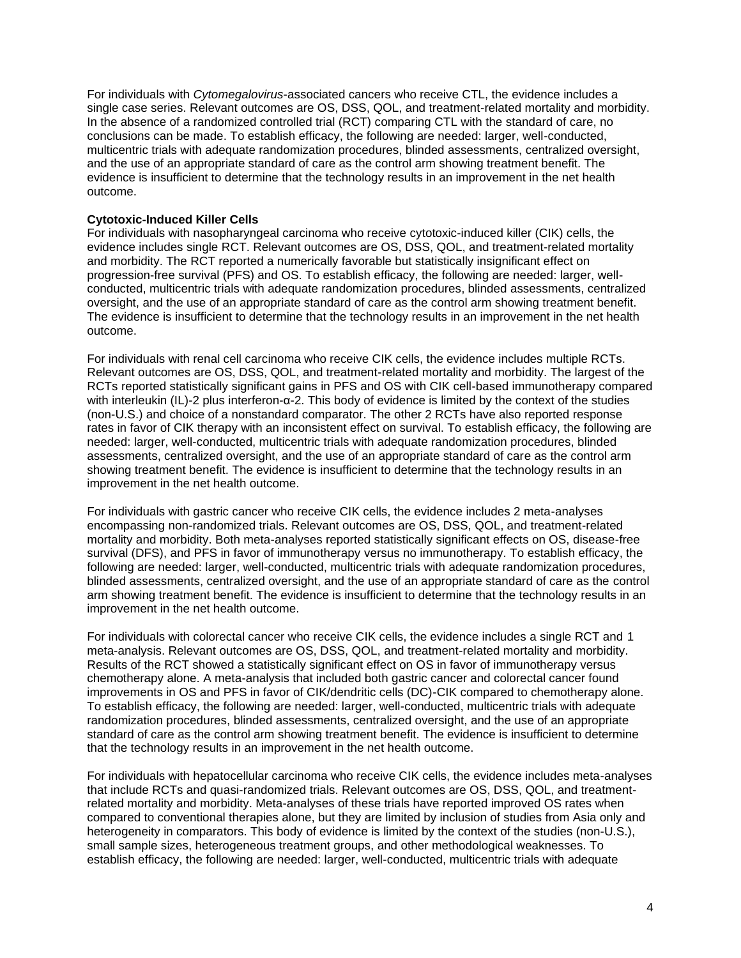For individuals with *Cytomegalovirus*-associated cancers who receive CTL, the evidence includes a single case series. Relevant outcomes are OS, DSS, QOL, and treatment-related mortality and morbidity. In the absence of a randomized controlled trial (RCT) comparing CTL with the standard of care, no conclusions can be made. To establish efficacy, the following are needed: larger, well-conducted, multicentric trials with adequate randomization procedures, blinded assessments, centralized oversight, and the use of an appropriate standard of care as the control arm showing treatment benefit. The evidence is insufficient to determine that the technology results in an improvement in the net health outcome.

#### **Cytotoxic-Induced Killer Cells**

For individuals with nasopharyngeal carcinoma who receive cytotoxic-induced killer (CIK) cells, the evidence includes single RCT. Relevant outcomes are OS, DSS, QOL, and treatment-related mortality and morbidity. The RCT reported a numerically favorable but statistically insignificant effect on progression-free survival (PFS) and OS. To establish efficacy, the following are needed: larger, wellconducted, multicentric trials with adequate randomization procedures, blinded assessments, centralized oversight, and the use of an appropriate standard of care as the control arm showing treatment benefit. The evidence is insufficient to determine that the technology results in an improvement in the net health outcome.

For individuals with renal cell carcinoma who receive CIK cells, the evidence includes multiple RCTs. Relevant outcomes are OS, DSS, QOL, and treatment-related mortality and morbidity. The largest of the RCTs reported statistically significant gains in PFS and OS with CIK cell-based immunotherapy compared with interleukin (IL)-2 plus interferon-α-2. This body of evidence is limited by the context of the studies (non-U.S.) and choice of a nonstandard comparator. The other 2 RCTs have also reported response rates in favor of CIK therapy with an inconsistent effect on survival. To establish efficacy, the following are needed: larger, well-conducted, multicentric trials with adequate randomization procedures, blinded assessments, centralized oversight, and the use of an appropriate standard of care as the control arm showing treatment benefit. The evidence is insufficient to determine that the technology results in an improvement in the net health outcome.

For individuals with gastric cancer who receive CIK cells, the evidence includes 2 meta-analyses encompassing non-randomized trials. Relevant outcomes are OS, DSS, QOL, and treatment-related mortality and morbidity. Both meta-analyses reported statistically significant effects on OS, disease-free survival (DFS), and PFS in favor of immunotherapy versus no immunotherapy. To establish efficacy, the following are needed: larger, well-conducted, multicentric trials with adequate randomization procedures, blinded assessments, centralized oversight, and the use of an appropriate standard of care as the control arm showing treatment benefit. The evidence is insufficient to determine that the technology results in an improvement in the net health outcome.

For individuals with colorectal cancer who receive CIK cells, the evidence includes a single RCT and 1 meta-analysis. Relevant outcomes are OS, DSS, QOL, and treatment-related mortality and morbidity. Results of the RCT showed a statistically significant effect on OS in favor of immunotherapy versus chemotherapy alone. A meta-analysis that included both gastric cancer and colorectal cancer found improvements in OS and PFS in favor of CIK/dendritic cells (DC)-CIK compared to chemotherapy alone. To establish efficacy, the following are needed: larger, well-conducted, multicentric trials with adequate randomization procedures, blinded assessments, centralized oversight, and the use of an appropriate standard of care as the control arm showing treatment benefit. The evidence is insufficient to determine that the technology results in an improvement in the net health outcome.

For individuals with hepatocellular carcinoma who receive CIK cells, the evidence includes meta-analyses that include RCTs and quasi-randomized trials. Relevant outcomes are OS, DSS, QOL, and treatmentrelated mortality and morbidity. Meta-analyses of these trials have reported improved OS rates when compared to conventional therapies alone, but they are limited by inclusion of studies from Asia only and heterogeneity in comparators. This body of evidence is limited by the context of the studies (non-U.S.), small sample sizes, heterogeneous treatment groups, and other methodological weaknesses. To establish efficacy, the following are needed: larger, well-conducted, multicentric trials with adequate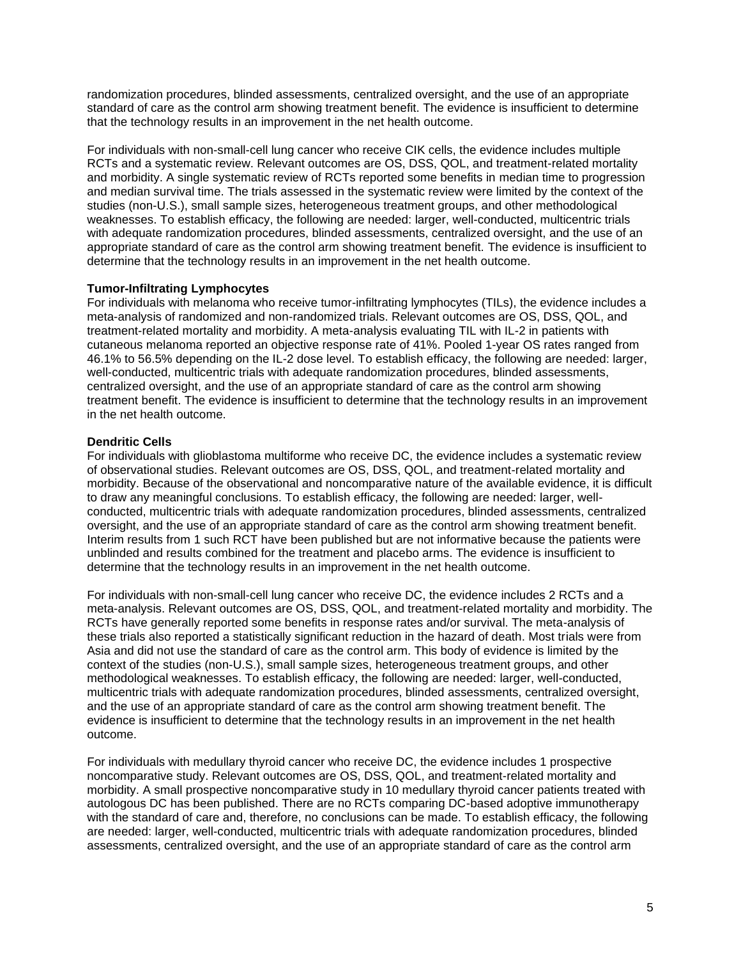randomization procedures, blinded assessments, centralized oversight, and the use of an appropriate standard of care as the control arm showing treatment benefit. The evidence is insufficient to determine that the technology results in an improvement in the net health outcome.

For individuals with non-small-cell lung cancer who receive CIK cells, the evidence includes multiple RCTs and a systematic review. Relevant outcomes are OS, DSS, QOL, and treatment-related mortality and morbidity. A single systematic review of RCTs reported some benefits in median time to progression and median survival time. The trials assessed in the systematic review were limited by the context of the studies (non-U.S.), small sample sizes, heterogeneous treatment groups, and other methodological weaknesses. To establish efficacy, the following are needed: larger, well-conducted, multicentric trials with adequate randomization procedures, blinded assessments, centralized oversight, and the use of an appropriate standard of care as the control arm showing treatment benefit. The evidence is insufficient to determine that the technology results in an improvement in the net health outcome.

#### **Tumor-Infiltrating Lymphocytes**

For individuals with melanoma who receive tumor-infiltrating lymphocytes (TILs), the evidence includes a meta-analysis of randomized and non-randomized trials. Relevant outcomes are OS, DSS, QOL, and treatment-related mortality and morbidity. A meta-analysis evaluating TIL with IL-2 in patients with cutaneous melanoma reported an objective response rate of 41%. Pooled 1-year OS rates ranged from 46.1% to 56.5% depending on the IL-2 dose level. To establish efficacy, the following are needed: larger, well-conducted, multicentric trials with adequate randomization procedures, blinded assessments, centralized oversight, and the use of an appropriate standard of care as the control arm showing treatment benefit. The evidence is insufficient to determine that the technology results in an improvement in the net health outcome.

#### **Dendritic Cells**

For individuals with glioblastoma multiforme who receive DC, the evidence includes a systematic review of observational studies. Relevant outcomes are OS, DSS, QOL, and treatment-related mortality and morbidity. Because of the observational and noncomparative nature of the available evidence, it is difficult to draw any meaningful conclusions. To establish efficacy, the following are needed: larger, wellconducted, multicentric trials with adequate randomization procedures, blinded assessments, centralized oversight, and the use of an appropriate standard of care as the control arm showing treatment benefit. Interim results from 1 such RCT have been published but are not informative because the patients were unblinded and results combined for the treatment and placebo arms. The evidence is insufficient to determine that the technology results in an improvement in the net health outcome.

For individuals with non-small-cell lung cancer who receive DC, the evidence includes 2 RCTs and a meta-analysis. Relevant outcomes are OS, DSS, QOL, and treatment-related mortality and morbidity. The RCTs have generally reported some benefits in response rates and/or survival. The meta-analysis of these trials also reported a statistically significant reduction in the hazard of death. Most trials were from Asia and did not use the standard of care as the control arm. This body of evidence is limited by the context of the studies (non-U.S.), small sample sizes, heterogeneous treatment groups, and other methodological weaknesses. To establish efficacy, the following are needed: larger, well-conducted, multicentric trials with adequate randomization procedures, blinded assessments, centralized oversight, and the use of an appropriate standard of care as the control arm showing treatment benefit. The evidence is insufficient to determine that the technology results in an improvement in the net health outcome.

For individuals with medullary thyroid cancer who receive DC, the evidence includes 1 prospective noncomparative study. Relevant outcomes are OS, DSS, QOL, and treatment-related mortality and morbidity. A small prospective noncomparative study in 10 medullary thyroid cancer patients treated with autologous DC has been published. There are no RCTs comparing DC-based adoptive immunotherapy with the standard of care and, therefore, no conclusions can be made. To establish efficacy, the following are needed: larger, well-conducted, multicentric trials with adequate randomization procedures, blinded assessments, centralized oversight, and the use of an appropriate standard of care as the control arm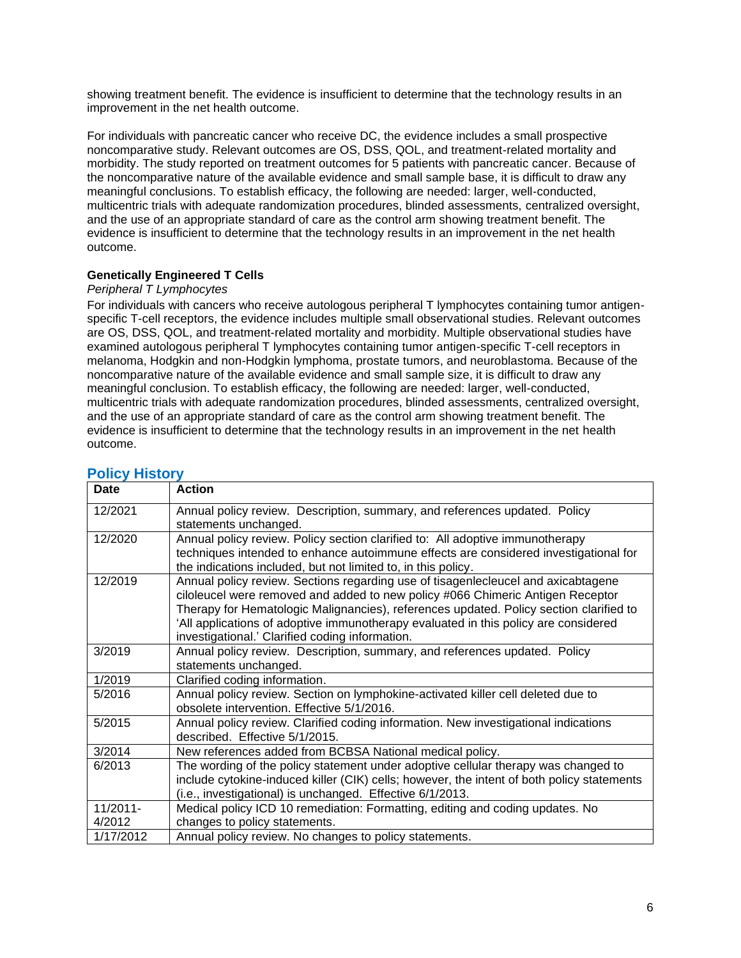showing treatment benefit. The evidence is insufficient to determine that the technology results in an improvement in the net health outcome.

For individuals with pancreatic cancer who receive DC, the evidence includes a small prospective noncomparative study. Relevant outcomes are OS, DSS, QOL, and treatment-related mortality and morbidity. The study reported on treatment outcomes for 5 patients with pancreatic cancer. Because of the noncomparative nature of the available evidence and small sample base, it is difficult to draw any meaningful conclusions. To establish efficacy, the following are needed: larger, well-conducted, multicentric trials with adequate randomization procedures, blinded assessments, centralized oversight, and the use of an appropriate standard of care as the control arm showing treatment benefit. The evidence is insufficient to determine that the technology results in an improvement in the net health outcome.

#### **Genetically Engineered T Cells**

#### *Peripheral T Lymphocytes*

For individuals with cancers who receive autologous peripheral T lymphocytes containing tumor antigenspecific T-cell receptors, the evidence includes multiple small observational studies. Relevant outcomes are OS, DSS, QOL, and treatment-related mortality and morbidity. Multiple observational studies have examined autologous peripheral T lymphocytes containing tumor antigen-specific T-cell receptors in melanoma, Hodgkin and non-Hodgkin lymphoma, prostate tumors, and neuroblastoma. Because of the noncomparative nature of the available evidence and small sample size, it is difficult to draw any meaningful conclusion. To establish efficacy, the following are needed: larger, well-conducted, multicentric trials with adequate randomization procedures, blinded assessments, centralized oversight, and the use of an appropriate standard of care as the control arm showing treatment benefit. The evidence is insufficient to determine that the technology results in an improvement in the net health outcome.

| <b>Date</b> | <b>Action</b>                                                                                                                                                                                                                                                                                                                                                                                           |
|-------------|---------------------------------------------------------------------------------------------------------------------------------------------------------------------------------------------------------------------------------------------------------------------------------------------------------------------------------------------------------------------------------------------------------|
| 12/2021     | Annual policy review. Description, summary, and references updated. Policy<br>statements unchanged.                                                                                                                                                                                                                                                                                                     |
| 12/2020     | Annual policy review. Policy section clarified to: All adoptive immunotherapy<br>techniques intended to enhance autoimmune effects are considered investigational for<br>the indications included, but not limited to, in this policy.                                                                                                                                                                  |
| 12/2019     | Annual policy review. Sections regarding use of tisagenlecleucel and axicabtagene<br>ciloleucel were removed and added to new policy #066 Chimeric Antigen Receptor<br>Therapy for Hematologic Malignancies), references updated. Policy section clarified to<br>'All applications of adoptive immunotherapy evaluated in this policy are considered<br>investigational.' Clarified coding information. |
| 3/2019      | Annual policy review. Description, summary, and references updated. Policy<br>statements unchanged.                                                                                                                                                                                                                                                                                                     |
| 1/2019      | Clarified coding information.                                                                                                                                                                                                                                                                                                                                                                           |
| 5/2016      | Annual policy review. Section on lymphokine-activated killer cell deleted due to<br>obsolete intervention. Effective 5/1/2016.                                                                                                                                                                                                                                                                          |
| 5/2015      | Annual policy review. Clarified coding information. New investigational indications<br>described. Effective 5/1/2015.                                                                                                                                                                                                                                                                                   |
| 3/2014      | New references added from BCBSA National medical policy.                                                                                                                                                                                                                                                                                                                                                |
| 6/2013      | The wording of the policy statement under adoptive cellular therapy was changed to<br>include cytokine-induced killer (CIK) cells; however, the intent of both policy statements<br>(i.e., investigational) is unchanged. Effective 6/1/2013.                                                                                                                                                           |
| 11/2011-    | Medical policy ICD 10 remediation: Formatting, editing and coding updates. No                                                                                                                                                                                                                                                                                                                           |
| 4/2012      | changes to policy statements.                                                                                                                                                                                                                                                                                                                                                                           |
| 1/17/2012   | Annual policy review. No changes to policy statements.                                                                                                                                                                                                                                                                                                                                                  |

# <span id="page-5-0"></span>**Policy History**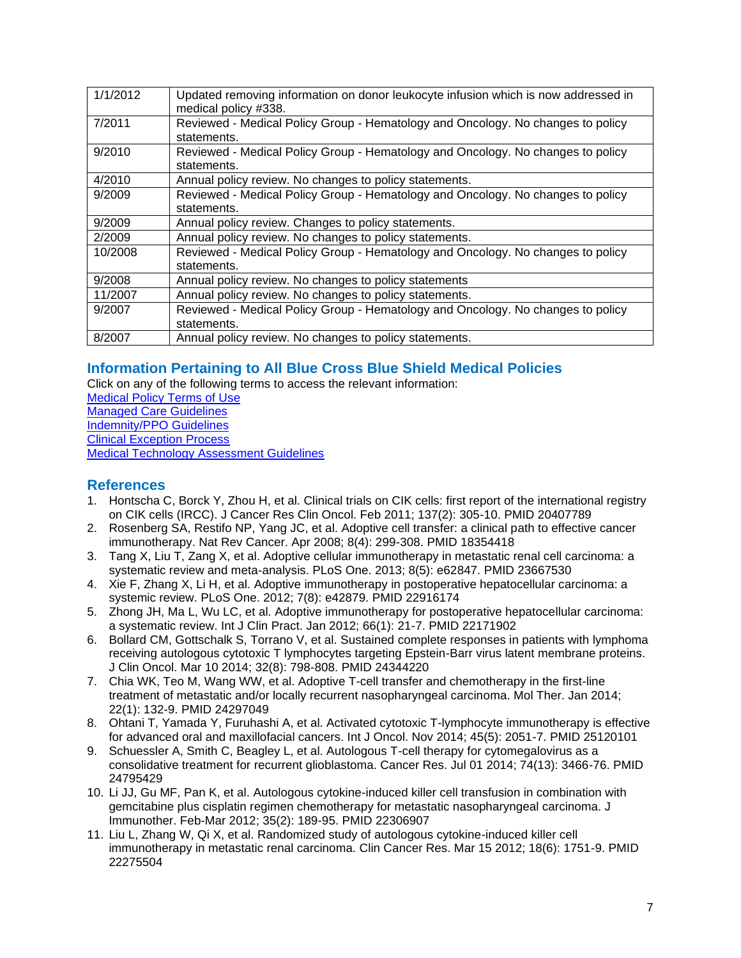| 1/1/2012 | Updated removing information on donor leukocyte infusion which is now addressed in<br>medical policy #338. |
|----------|------------------------------------------------------------------------------------------------------------|
| 7/2011   | Reviewed - Medical Policy Group - Hematology and Oncology. No changes to policy<br>statements.             |
| 9/2010   | Reviewed - Medical Policy Group - Hematology and Oncology. No changes to policy<br>statements.             |
| 4/2010   | Annual policy review. No changes to policy statements.                                                     |
| 9/2009   | Reviewed - Medical Policy Group - Hematology and Oncology. No changes to policy                            |
|          | statements.                                                                                                |
| 9/2009   | Annual policy review. Changes to policy statements.                                                        |
| 2/2009   | Annual policy review. No changes to policy statements.                                                     |
| 10/2008  | Reviewed - Medical Policy Group - Hematology and Oncology. No changes to policy                            |
|          | statements.                                                                                                |
| 9/2008   | Annual policy review. No changes to policy statements                                                      |
| 11/2007  | Annual policy review. No changes to policy statements.                                                     |
| 9/2007   | Reviewed - Medical Policy Group - Hematology and Oncology. No changes to policy                            |
|          | statements.                                                                                                |
| 8/2007   | Annual policy review. No changes to policy statements.                                                     |
|          |                                                                                                            |

# <span id="page-6-0"></span>**[Information Pertaining to All Blue Cross Blue Shield Medical Policies](#page-6-0)**

Click on any of the following terms to access the relevant information:

[Medical Policy Terms of Use](http://www.bluecrossma.org/medical-policies/sites/g/files/csphws2091/files/acquiadam-assets/Medical_Policy_Terms_of_Use_prn.pdf) [Managed Care Guidelines](http://www.bluecrossma.org/medical-policies/sites/g/files/csphws2091/files/acquiadam-assets/Managed_Care_Guidelines_prn.pdf) [Indemnity/PPO Guidelines](http://www.bluecrossma.org/medical-policies/sites/g/files/csphws2091/files/acquiadam-assets/Indemnity_and_PPO_Guidelines_prn.pdf) [Clinical Exception Process](http://www.bluecrossma.org/medical-policies/sites/g/files/csphws2091/files/acquiadam-assets/Clinical_Exception_Process_prn.pdf) [Medical Technology Assessment Guidelines](http://www.bluecrossma.org/medical-policies/sites/g/files/csphws2091/files/acquiadam-assets/Medical_Technology_Assessment_Guidelines_prn.pdf)

# <span id="page-6-1"></span>**References**

- 1. Hontscha C, Borck Y, Zhou H, et al. Clinical trials on CIK cells: first report of the international registry on CIK cells (IRCC). J Cancer Res Clin Oncol. Feb 2011; 137(2): 305-10. PMID 20407789
- 2. Rosenberg SA, Restifo NP, Yang JC, et al. Adoptive cell transfer: a clinical path to effective cancer immunotherapy. Nat Rev Cancer. Apr 2008; 8(4): 299-308. PMID 18354418
- 3. Tang X, Liu T, Zang X, et al. Adoptive cellular immunotherapy in metastatic renal cell carcinoma: a systematic review and meta-analysis. PLoS One. 2013; 8(5): e62847. PMID 23667530
- 4. Xie F, Zhang X, Li H, et al. Adoptive immunotherapy in postoperative hepatocellular carcinoma: a systemic review. PLoS One. 2012; 7(8): e42879. PMID 22916174
- 5. Zhong JH, Ma L, Wu LC, et al. Adoptive immunotherapy for postoperative hepatocellular carcinoma: a systematic review. Int J Clin Pract. Jan 2012; 66(1): 21-7. PMID 22171902
- 6. Bollard CM, Gottschalk S, Torrano V, et al. Sustained complete responses in patients with lymphoma receiving autologous cytotoxic T lymphocytes targeting Epstein-Barr virus latent membrane proteins. J Clin Oncol. Mar 10 2014; 32(8): 798-808. PMID 24344220
- 7. Chia WK, Teo M, Wang WW, et al. Adoptive T-cell transfer and chemotherapy in the first-line treatment of metastatic and/or locally recurrent nasopharyngeal carcinoma. Mol Ther. Jan 2014; 22(1): 132-9. PMID 24297049
- 8. Ohtani T, Yamada Y, Furuhashi A, et al. Activated cytotoxic T-lymphocyte immunotherapy is effective for advanced oral and maxillofacial cancers. Int J Oncol. Nov 2014; 45(5): 2051-7. PMID 25120101
- 9. Schuessler A, Smith C, Beagley L, et al. Autologous T-cell therapy for cytomegalovirus as a consolidative treatment for recurrent glioblastoma. Cancer Res. Jul 01 2014; 74(13): 3466-76. PMID 24795429
- 10. Li JJ, Gu MF, Pan K, et al. Autologous cytokine-induced killer cell transfusion in combination with gemcitabine plus cisplatin regimen chemotherapy for metastatic nasopharyngeal carcinoma. J Immunother. Feb-Mar 2012; 35(2): 189-95. PMID 22306907
- 11. Liu L, Zhang W, Qi X, et al. Randomized study of autologous cytokine-induced killer cell immunotherapy in metastatic renal carcinoma. Clin Cancer Res. Mar 15 2012; 18(6): 1751-9. PMID 22275504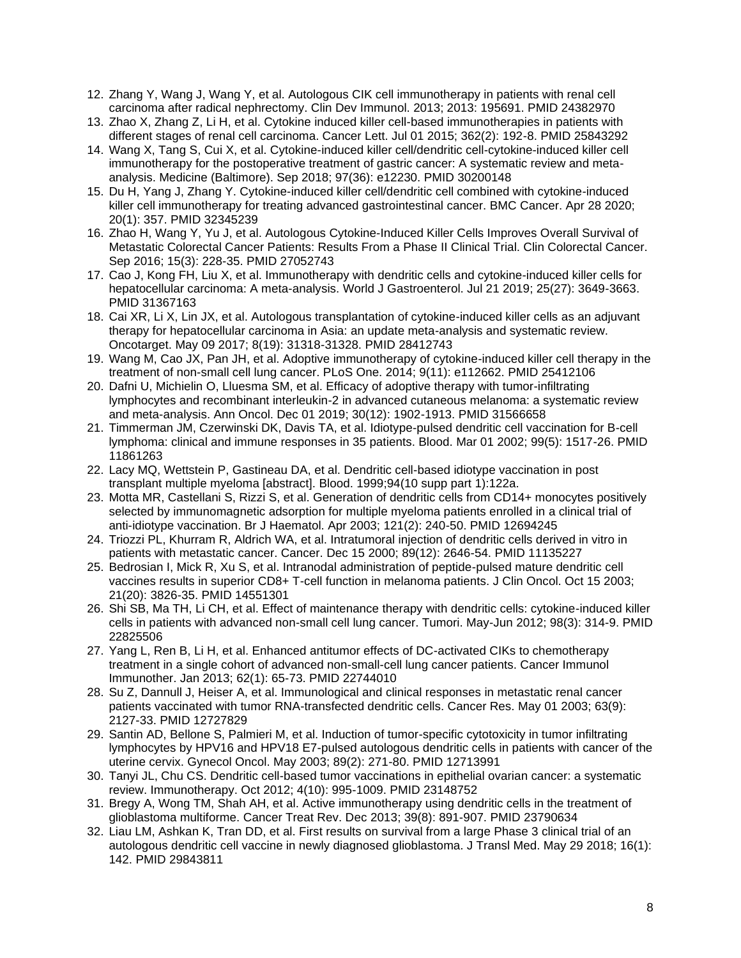- 12. Zhang Y, Wang J, Wang Y, et al. Autologous CIK cell immunotherapy in patients with renal cell carcinoma after radical nephrectomy. Clin Dev Immunol. 2013; 2013: 195691. PMID 24382970
- 13. Zhao X, Zhang Z, Li H, et al. Cytokine induced killer cell-based immunotherapies in patients with different stages of renal cell carcinoma. Cancer Lett. Jul 01 2015; 362(2): 192-8. PMID 25843292
- 14. Wang X, Tang S, Cui X, et al. Cytokine-induced killer cell/dendritic cell-cytokine-induced killer cell immunotherapy for the postoperative treatment of gastric cancer: A systematic review and metaanalysis. Medicine (Baltimore). Sep 2018; 97(36): e12230. PMID 30200148
- 15. Du H, Yang J, Zhang Y. Cytokine-induced killer cell/dendritic cell combined with cytokine-induced killer cell immunotherapy for treating advanced gastrointestinal cancer. BMC Cancer. Apr 28 2020; 20(1): 357. PMID 32345239
- 16. Zhao H, Wang Y, Yu J, et al. Autologous Cytokine-Induced Killer Cells Improves Overall Survival of Metastatic Colorectal Cancer Patients: Results From a Phase II Clinical Trial. Clin Colorectal Cancer. Sep 2016; 15(3): 228-35. PMID 27052743
- 17. Cao J, Kong FH, Liu X, et al. Immunotherapy with dendritic cells and cytokine-induced killer cells for hepatocellular carcinoma: A meta-analysis. World J Gastroenterol. Jul 21 2019; 25(27): 3649-3663. PMID 31367163
- 18. Cai XR, Li X, Lin JX, et al. Autologous transplantation of cytokine-induced killer cells as an adjuvant therapy for hepatocellular carcinoma in Asia: an update meta-analysis and systematic review. Oncotarget. May 09 2017; 8(19): 31318-31328. PMID 28412743
- 19. Wang M, Cao JX, Pan JH, et al. Adoptive immunotherapy of cytokine-induced killer cell therapy in the treatment of non-small cell lung cancer. PLoS One. 2014; 9(11): e112662. PMID 25412106
- 20. Dafni U, Michielin O, Lluesma SM, et al. Efficacy of adoptive therapy with tumor-infiltrating lymphocytes and recombinant interleukin-2 in advanced cutaneous melanoma: a systematic review and meta-analysis. Ann Oncol. Dec 01 2019; 30(12): 1902-1913. PMID 31566658
- 21. Timmerman JM, Czerwinski DK, Davis TA, et al. Idiotype-pulsed dendritic cell vaccination for B-cell lymphoma: clinical and immune responses in 35 patients. Blood. Mar 01 2002; 99(5): 1517-26. PMID 11861263
- 22. Lacy MQ, Wettstein P, Gastineau DA, et al. Dendritic cell-based idiotype vaccination in post transplant multiple myeloma [abstract]. Blood. 1999;94(10 supp part 1):122a.
- 23. Motta MR, Castellani S, Rizzi S, et al. Generation of dendritic cells from CD14+ monocytes positively selected by immunomagnetic adsorption for multiple myeloma patients enrolled in a clinical trial of anti-idiotype vaccination. Br J Haematol. Apr 2003; 121(2): 240-50. PMID 12694245
- 24. Triozzi PL, Khurram R, Aldrich WA, et al. Intratumoral injection of dendritic cells derived in vitro in patients with metastatic cancer. Cancer. Dec 15 2000; 89(12): 2646-54. PMID 11135227
- 25. Bedrosian I, Mick R, Xu S, et al. Intranodal administration of peptide-pulsed mature dendritic cell vaccines results in superior CD8+ T-cell function in melanoma patients. J Clin Oncol. Oct 15 2003; 21(20): 3826-35. PMID 14551301
- 26. Shi SB, Ma TH, Li CH, et al. Effect of maintenance therapy with dendritic cells: cytokine-induced killer cells in patients with advanced non-small cell lung cancer. Tumori. May-Jun 2012; 98(3): 314-9. PMID 22825506
- 27. Yang L, Ren B, Li H, et al. Enhanced antitumor effects of DC-activated CIKs to chemotherapy treatment in a single cohort of advanced non-small-cell lung cancer patients. Cancer Immunol Immunother. Jan 2013; 62(1): 65-73. PMID 22744010
- 28. Su Z, Dannull J, Heiser A, et al. Immunological and clinical responses in metastatic renal cancer patients vaccinated with tumor RNA-transfected dendritic cells. Cancer Res. May 01 2003; 63(9): 2127-33. PMID 12727829
- 29. Santin AD, Bellone S, Palmieri M, et al. Induction of tumor-specific cytotoxicity in tumor infiltrating lymphocytes by HPV16 and HPV18 E7-pulsed autologous dendritic cells in patients with cancer of the uterine cervix. Gynecol Oncol. May 2003; 89(2): 271-80. PMID 12713991
- 30. Tanyi JL, Chu CS. Dendritic cell-based tumor vaccinations in epithelial ovarian cancer: a systematic review. Immunotherapy. Oct 2012; 4(10): 995-1009. PMID 23148752
- 31. Bregy A, Wong TM, Shah AH, et al. Active immunotherapy using dendritic cells in the treatment of glioblastoma multiforme. Cancer Treat Rev. Dec 2013; 39(8): 891-907. PMID 23790634
- 32. Liau LM, Ashkan K, Tran DD, et al. First results on survival from a large Phase 3 clinical trial of an autologous dendritic cell vaccine in newly diagnosed glioblastoma. J Transl Med. May 29 2018; 16(1): 142. PMID 29843811